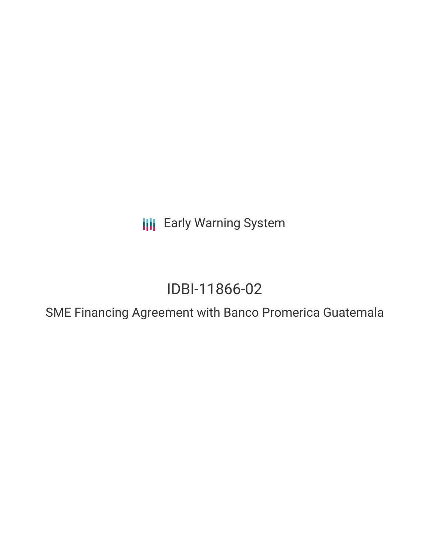**III** Early Warning System

# IDBI-11866-02

SME Financing Agreement with Banco Promerica Guatemala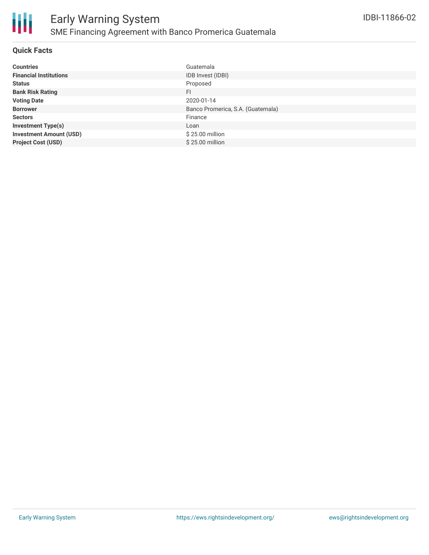

#### **Quick Facts**

| <b>Countries</b>               | Guatemala                         |
|--------------------------------|-----------------------------------|
| <b>Financial Institutions</b>  | IDB Invest (IDBI)                 |
| <b>Status</b>                  | Proposed                          |
| <b>Bank Risk Rating</b>        | <b>FI</b>                         |
| <b>Voting Date</b>             | 2020-01-14                        |
| <b>Borrower</b>                | Banco Promerica, S.A. (Guatemala) |
| <b>Sectors</b>                 | Finance                           |
| <b>Investment Type(s)</b>      | Loan                              |
| <b>Investment Amount (USD)</b> | \$25.00 million                   |
| <b>Project Cost (USD)</b>      | \$25.00 million                   |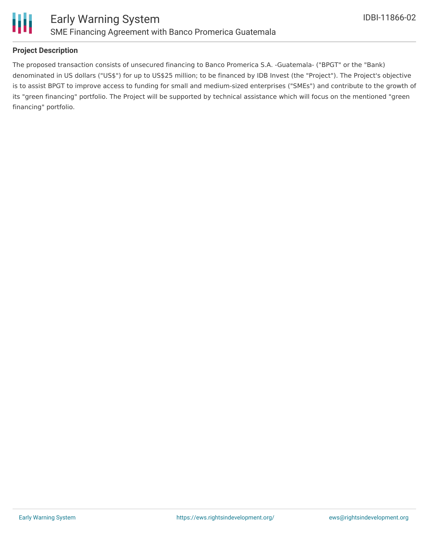

### **Project Description**

The proposed transaction consists of unsecured financing to Banco Promerica S.A. -Guatemala- ("BPGT" or the "Bank) denominated in US dollars ("US\$") for up to US\$25 million; to be financed by IDB Invest (the "Project"). The Project's objective is to assist BPGT to improve access to funding for small and medium-sized enterprises ("SMEs") and contribute to the growth of its "green financing" portfolio. The Project will be supported by technical assistance which will focus on the mentioned "green financing" portfolio.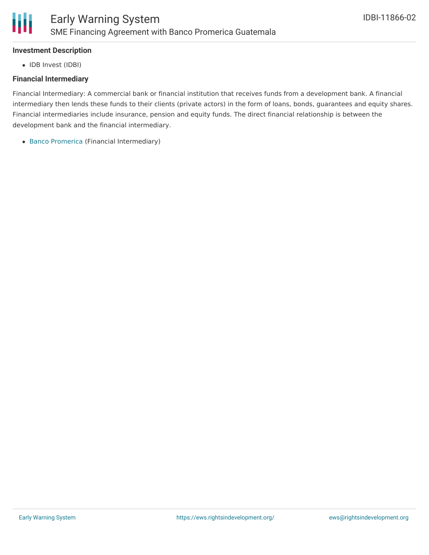#### **Investment Description**

Ш

• IDB Invest (IDBI)

#### **Financial Intermediary**

Financial Intermediary: A commercial bank or financial institution that receives funds from a development bank. A financial intermediary then lends these funds to their clients (private actors) in the form of loans, bonds, guarantees and equity shares. Financial intermediaries include insurance, pension and equity funds. The direct financial relationship is between the development bank and the financial intermediary.

Banco [Promerica](file:///actor/203/) (Financial Intermediary)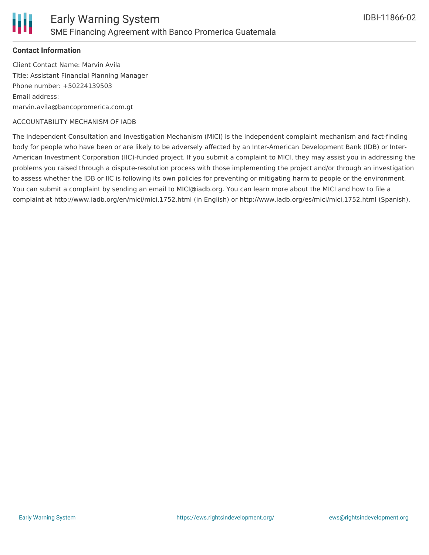#### **Contact Information**

Client Contact Name: Marvin Avila Title: Assistant Financial Planning Manager Phone number: +50224139503 Email address: marvin.avila@bancopromerica.com.gt

#### ACCOUNTABILITY MECHANISM OF IADB

The Independent Consultation and Investigation Mechanism (MICI) is the independent complaint mechanism and fact-finding body for people who have been or are likely to be adversely affected by an Inter-American Development Bank (IDB) or Inter-American Investment Corporation (IIC)-funded project. If you submit a complaint to MICI, they may assist you in addressing the problems you raised through a dispute-resolution process with those implementing the project and/or through an investigation to assess whether the IDB or IIC is following its own policies for preventing or mitigating harm to people or the environment. You can submit a complaint by sending an email to MICI@iadb.org. You can learn more about the MICI and how to file a complaint at http://www.iadb.org/en/mici/mici,1752.html (in English) or http://www.iadb.org/es/mici/mici,1752.html (Spanish).